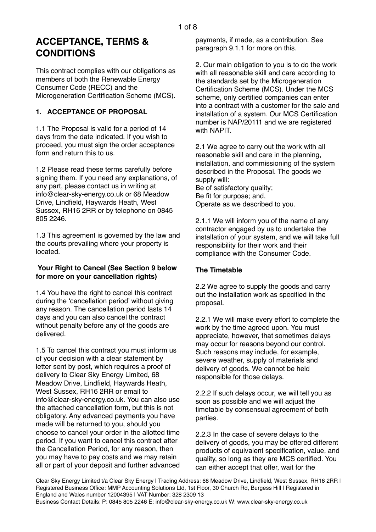# **ACCEPTANCE, TERMS & CONDITIONS**

This contract complies with our obligations as members of both the Renewable Energy Consumer Code (RECC) and the Microgeneration Certification Scheme (MCS).

# **1. ACCEPTANCE OF PROPOSAL**

1.1 The Proposal is valid for a period of 14 days from the date indicated. If you wish to proceed, you must sign the order acceptance form and return this to us.

1.2 Please read these terms carefully before signing them. If you need any explanations, of any part, please contact us in writing at info@clear-sky-energy.co.uk or 68 Meadow Drive, Lindfield, Haywards Heath, West Sussex, RH16 2RR or by telephone on 0845 805 2246.

1.3 This agreement is governed by the law and the courts prevailing where your property is located.

#### **Your Right to Cancel (See Section 9 below for more on your cancellation rights)**

1.4 You have the right to cancel this contract during the 'cancellation period' without giving any reason. The cancellation period lasts 14 days and you can also cancel the contract without penalty before any of the goods are delivered.

1.5 To cancel this contract you must inform us of your decision with a clear statement by letter sent by post, which requires a proof of delivery to Clear Sky Energy Limited, 68 Meadow Drive, Lindfield, Haywards Heath, West Sussex, RH16 2RR or email to info@clear-sky-energy.co.uk. You can also use the attached cancellation form, but this is not obligatory. Any advanced payments you have made will be returned to you, should you choose to cancel your order in the allotted time period. If you want to cancel this contract after the Cancellation Period, for any reason, then you may have to pay costs and we may retain all or part of your deposit and further advanced payments, if made, as a contribution. See paragraph 9.1.1 for more on this.

2. Our main obligation to you is to do the work with all reasonable skill and care according to the standards set by the Microgeneration Certification Scheme (MCS). Under the MCS scheme, only certified companies can enter into a contract with a customer for the sale and installation of a system. Our MCS Certification number is NAP/20111 and we are registered with NAPIT.

2.1 We agree to carry out the work with all reasonable skill and care in the planning, installation, and commissioning of the system described in the Proposal. The goods we supply will: Be of satisfactory quality;

Be fit for purpose; and, Operate as we described to you.

2.1.1 We will inform you of the name of any contractor engaged by us to undertake the installation of your system, and we will take full responsibility for their work and their compliance with the Consumer Code.

# **The Timetable**

2.2 We agree to supply the goods and carry out the installation work as specified in the proposal.

2.2.1 We will make every effort to complete the work by the time agreed upon. You must appreciate, however, that sometimes delays may occur for reasons beyond our control. Such reasons may include, for example, severe weather, supply of materials and delivery of goods. We cannot be held responsible for those delays.

2.2.2 If such delays occur, we will tell you as soon as possible and we will adjust the timetable by consensual agreement of both parties.

2.2.3 In the case of severe delays to the delivery of goods, you may be offered different products of equivalent specification, value, and quality, so long as they are MCS certified. You can either accept that offer, wait for the

Clear Sky Energy Limited t/a Clear Sky Energy | Trading Address: 68 Meadow Drive, Lindfield, West Sussex, RH16 2RR | Registered Business Office: MMP Accounting Solutions Ltd, 1st Floor, 30 Church Rd, Burgess Hill | Registered in England and Wales number 12004395 | VAT Number: 328 2309 13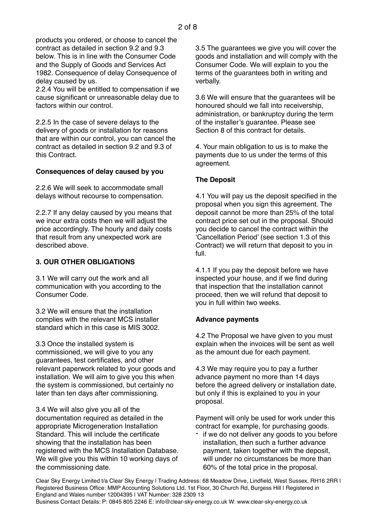products you ordered, or choose to cancel the contract as detailed in section 9.2 and 9.3 below. This is in line with the Consumer Code and the Supply of Goods and Services Act 1982. Consequence of delay Consequence of delay caused by us.

2.2.4 You will be entitled to compensation if we cause significant or unreasonable delay due to factors within our control.

2.2.5 In the case of severe delays to the delivery of goods or installation for reasons that are within our control, you can cancel the contract as detailed in section 9.2 and 9.3 of this Contract.

#### **Consequences of delay caused by you**

2.2.6 We will seek to accommodate small delays without recourse to compensation.

2.2.7 If any delay caused by you means that we incur extra costs then we will adjust the price accordingly. The hourly and daily costs that result from any unexpected work are described above.

# **3. OUR OTHER OBLIGATIONS**

3.1 We will carry out the work and all communication with you according to the Consumer Code.

3.2 We will ensure that the installation complies with the relevant MCS installer standard which in this case is MIS 3002.

3.3 Once the installed system is commissioned, we will give to you any guarantees, test certificates, and other relevant paperwork related to your goods and installation. We will aim to give you this when the system is commissioned, but certainly no later than ten days after commissioning.

3.4 We will also give you all of the documentation required as detailed in the appropriate Microgeneration Installation Standard. This will include the certificate showing that the installation has been registered with the MCS Installation Database. We will give you this within 10 working days of the commissioning date.

3.5 The guarantees we give you will cover the goods and installation and will comply with the Consumer Code. We will explain to you the terms of the guarantees both in writing and verbally.

3.6 We will ensure that the guarantees will be honoured should we fall into receivership, administration, or bankruptcy during the term of the installer's guarantee. Please see Section 8 of this contract for details.

4. Your main obligation to us is to make the payments due to us under the terms of this agreement.

# **The Deposit**

4.1 You will pay us the deposit specified in the proposal when you sign this agreement. The deposit cannot be more than 25% of the total contract price set out in the proposal. Should you decide to cancel the contract within the 'Cancellation Period' (see section 1.3 of this Contract) we will return that deposit to you in full.

4.1.1 If you pay the deposit before we have inspected your house, and if we find during that inspection that the installation cannot proceed, then we will refund that deposit to you in full within two weeks.

#### **Advance payments**

4.2 The Proposal we have given to you must explain when the invoices will be sent as well as the amount due for each payment.

4.3 We may require you to pay a further advance payment no more than 14 days before the agreed delivery or installation date, but only if this is explained to you in your proposal.

Payment will only be used for work under this contract for example, for purchasing goods.

if we do not deliver any goods to you before installation, then such a further advance payment, taken together with the deposit, will under no circumstances be more than 60% of the total price in the proposal.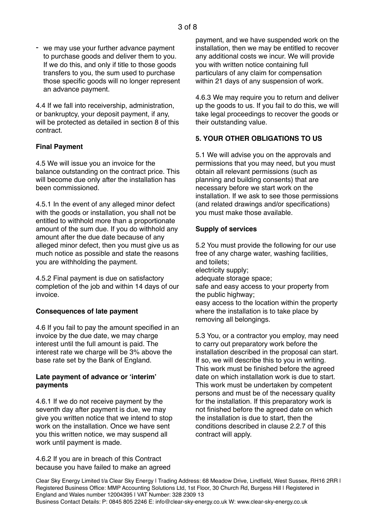we may use your further advance payment to purchase goods and deliver them to you. If we do this, and only if title to those goods transfers to you, the sum used to purchase those specific goods will no longer represent an advance payment.

4.4 If we fall into receivership, administration, or bankruptcy, your deposit payment, if any, will be protected as detailed in section 8 of this contract.

#### **Final Payment**

4.5 We will issue you an invoice for the balance outstanding on the contract price. This will become due only after the installation has been commissioned.

4.5.1 In the event of any alleged minor defect with the goods or installation, you shall not be entitled to withhold more than a proportionate amount of the sum due. If you do withhold any amount after the due date because of any alleged minor defect, then you must give us as much notice as possible and state the reasons you are withholding the payment.

4.5.2 Final payment is due on satisfactory completion of the job and within 14 days of our invoice.

#### **Consequences of late payment**

4.6 If you fail to pay the amount specified in an invoice by the due date, we may charge interest until the full amount is paid. The interest rate we charge will be 3% above the base rate set by the Bank of England.

#### **Late payment of advance or 'interim' payments**

4.6.1 If we do not receive payment by the seventh day after payment is due, we may give you written notice that we intend to stop work on the installation. Once we have sent you this written notice, we may suspend all work until payment is made.

4.6.2 If you are in breach of this Contract because you have failed to make an agreed payment, and we have suspended work on the installation, then we may be entitled to recover any additional costs we incur. We will provide you with written notice containing full particulars of any claim for compensation within 21 days of any suspension of work.

4.6.3 We may require you to return and deliver up the goods to us. If you fail to do this, we will take legal proceedings to recover the goods or their outstanding value.

# **5. YOUR OTHER OBLIGATIONS TO US**

5.1 We will advise you on the approvals and permissions that you may need, but you must obtain all relevant permissions (such as planning and building consents) that are necessary before we start work on the installation. If we ask to see those permissions (and related drawings and/or specifications) you must make those available.

#### **Supply of services**

5.2 You must provide the following for our use free of any charge water, washing facilities, and toilets; electricity supply; adequate storage space; safe and easy access to your property from the public highway; easy access to the location within the property where the installation is to take place by removing all belongings.

5.3 You, or a contractor you employ, may need to carry out preparatory work before the installation described in the proposal can start. If so, we will describe this to you in writing. This work must be finished before the agreed date on which installation work is due to start. This work must be undertaken by competent persons and must be of the necessary quality for the installation. If this preparatory work is not finished before the agreed date on which the installation is due to start, then the conditions described in clause 2.2.7 of this contract will apply.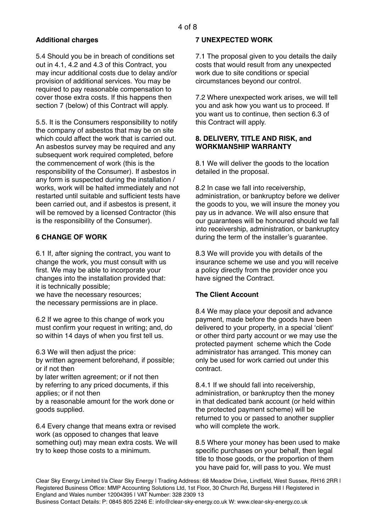# **Additional charges**

5.4 Should you be in breach of conditions set out in 4.1, 4.2 and 4.3 of this Contract, you may incur additional costs due to delay and/or provision of additional services. You may be required to pay reasonable compensation to cover those extra costs. If this happens then section 7 (below) of this Contract will apply.

5.5. It is the Consumers responsibility to notify the company of asbestos that may be on site which could affect the work that is carried out. An asbestos survey may be required and any subsequent work required completed, before the commencement of work (this is the responsibility of the Consumer). If asbestos in any form is suspected during the installation / works, work will be halted immediately and not restarted until suitable and sufficient tests have been carried out, and if asbestos is present, it will be removed by a licensed Contractor (this is the responsibility of the Consumer).

# **6 CHANGE OF WORK**

6.1 If, after signing the contract, you want to change the work, you must consult with us first. We may be able to incorporate your changes into the installation provided that: it is technically possible;

we have the necessary resources; the necessary permissions are in place.

6.2 If we agree to this change of work you must confirm your request in writing; and, do so within 14 days of when you first tell us.

6.3 We will then adjust the price:

by written agreement beforehand, if possible; or if not then

by later written agreement; or if not then by referring to any priced documents, if this applies; or if not then

by a reasonable amount for the work done or goods supplied.

6.4 Every change that means extra or revised work (as opposed to changes that leave something out) may mean extra costs. We will try to keep those costs to a minimum.

#### **7 UNEXPECTED WORK**

7.1 The proposal given to you details the daily costs that would result from any unexpected work due to site conditions or special circumstances beyond our control.

7.2 Where unexpected work arises, we will tell you and ask how you want us to proceed. If you want us to continue, then section 6.3 of this Contract will apply.

#### **8. DELIVERY, TITLE AND RISK, and WORKMANSHIP WARRANTY**

8.1 We will deliver the goods to the location detailed in the proposal.

8.2 In case we fall into receivership, administration, or bankruptcy before we deliver the goods to you, we will insure the money you pay us in advance. We will also ensure that our guarantees will be honoured should we fall into receivership, administration, or bankruptcy during the term of the installer's guarantee.

8.3 We will provide you with details of the insurance scheme we use and you will receive a policy directly from the provider once you have signed the Contract.

# **The Client Account**

8.4 We may place your deposit and advance payment, made before the goods have been delivered to your property, in a special 'client' or other third party account or we may use the protected payment scheme which the Code administrator has arranged. This money can only be used for work carried out under this contract.

8.4.1 If we should fall into receivership, administration, or bankruptcy then the money in that dedicated bank account (or held within the protected payment scheme) will be returned to you or passed to another supplier who will complete the work.

8.5 Where your money has been used to make specific purchases on your behalf, then legal title to those goods, or the proportion of them you have paid for, will pass to you. We must

Clear Sky Energy Limited t/a Clear Sky Energy | Trading Address: 68 Meadow Drive, Lindfield, West Sussex, RH16 2RR | Registered Business Office: MMP Accounting Solutions Ltd, 1st Floor, 30 Church Rd, Burgess Hill | Registered in England and Wales number 12004395 | VAT Number: 328 2309 13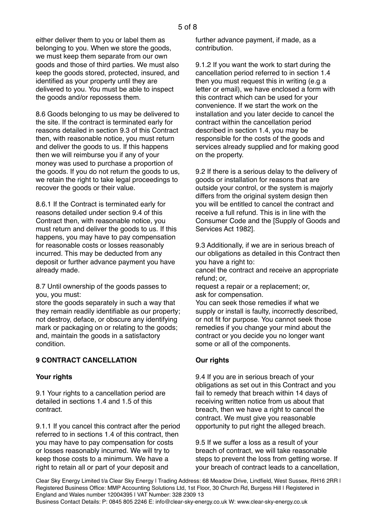either deliver them to you or label them as belonging to you. When we store the goods, we must keep them separate from our own goods and those of third parties. We must also keep the goods stored, protected, insured, and identified as your property until they are delivered to you. You must be able to inspect the goods and/or repossess them.

8.6 Goods belonging to us may be delivered to the site. If the contract is terminated early for reasons detailed in section 9.3 of this Contract then, with reasonable notice, you must return and deliver the goods to us. If this happens then we will reimburse you if any of your money was used to purchase a proportion of the goods. If you do not return the goods to us, we retain the right to take legal proceedings to recover the goods or their value.

8.6.1 If the Contract is terminated early for reasons detailed under section 9.4 of this Contract then, with reasonable notice, you must return and deliver the goods to us. If this happens, you may have to pay compensation for reasonable costs or losses reasonably incurred. This may be deducted from any deposit or further advance payment you have already made.

8.7 Until ownership of the goods passes to you, you must:

store the goods separately in such a way that they remain readily identifiable as our property; not destroy, deface, or obscure any identifying mark or packaging on or relating to the goods; and, maintain the goods in a satisfactory condition.

# **9 CONTRACT CANCELLATION**

#### **Your rights**

9.1 Your rights to a cancellation period are detailed in sections 1.4 and 1.5 of this contract.

9.1.1 If you cancel this contract after the period referred to in sections 1.4 of this contract, then you may have to pay compensation for costs or losses reasonably incurred. We will try to keep those costs to a minimum. We have a right to retain all or part of your deposit and

further advance payment, if made, as a contribution.

9.1.2 If you want the work to start during the cancellation period referred to in section 1.4 then you must request this in writing (e.g a letter or email), we have enclosed a form with this contract which can be used for your convenience. If we start the work on the installation and you later decide to cancel the contract within the cancellation period described in section 1.4, you may be responsible for the costs of the goods and services already supplied and for making good on the property.

9.2 If there is a serious delay to the delivery of goods or installation for reasons that are outside your control, or the system is majorly differs from the original system design then you will be entitled to cancel the contract and receive a full refund. This is in line with the Consumer Code and the [Supply of Goods and Services Act 1982].

9.3 Additionally, if we are in serious breach of our obligations as detailed in this Contract then you have a right to:

cancel the contract and receive an appropriate refund; or,

request a repair or a replacement; or, ask for compensation.

You can seek those remedies if what we supply or install is faulty, incorrectly described, or not fit for purpose. You cannot seek those remedies if you change your mind about the contract or you decide you no longer want some or all of the components.

#### **Our rights**

9.4 If you are in serious breach of your obligations as set out in this Contract and you fail to remedy that breach within 14 days of receiving written notice from us about that breach, then we have a right to cancel the contract. We must give you reasonable opportunity to put right the alleged breach.

9.5 If we suffer a loss as a result of your breach of contract, we will take reasonable steps to prevent the loss from getting worse. If your breach of contract leads to a cancellation,

Clear Sky Energy Limited t/a Clear Sky Energy | Trading Address: 68 Meadow Drive, Lindfield, West Sussex, RH16 2RR | Registered Business Office: MMP Accounting Solutions Ltd, 1st Floor, 30 Church Rd, Burgess Hill | Registered in England and Wales number 12004395 | VAT Number: 328 2309 13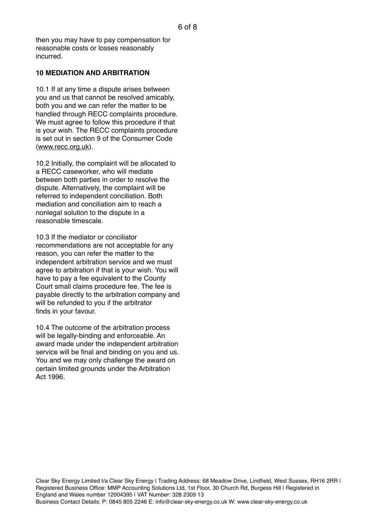then you may have to pay compensation for reasonable costs or losses reasonably incurred.

#### **10 MEDIATION AND ARBITRATION**

10.1 If at any time a dispute arises between you and us that cannot be resolved amicably, both you and we can refer the matter to be handled through RECC complaints procedure. We must agree to follow this procedure if that is your wish. The RECC complaints procedure is set out in section 9 of the Consumer Code [\(www.recc.org.uk](http://www.recc.org.uk)).

10.2 Initially, the complaint will be allocated to a RECC caseworker, who will mediate between both parties in order to resolve the dispute. Alternatively, the complaint will be referred to independent conciliation. Both mediation and conciliation aim to reach a nonlegal solution to the dispute in a reasonable timescale.

10.3 If the mediator or conciliator recommendations are not acceptable for any reason, you can refer the matter to the independent arbitration service and we must agree to arbitration if that is your wish. You will have to pay a fee equivalent to the County Court small claims procedure fee. The fee is payable directly to the arbitration company and will be refunded to you if the arbitrator finds in your favour.

10.4 The outcome of the arbitration process will be legally-binding and enforceable. An award made under the independent arbitration service will be final and binding on you and us. You and we may only challenge the award on certain limited grounds under the Arbitration Act 1996.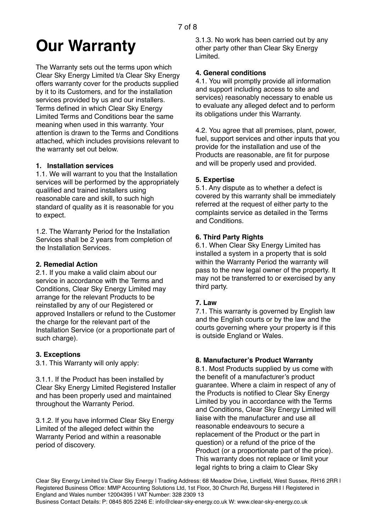# **Our Warranty**

The Warranty sets out the terms upon which Clear Sky Energy Limited t/a Clear Sky Energy offers warranty cover for the products supplied by it to its Customers, and for the installation services provided by us and our installers. Terms defined in which Clear Sky Energy Limited Terms and Conditions bear the same meaning when used in this warranty. Your attention is drawn to the Terms and Conditions attached, which includes provisions relevant to the warranty set out below.

# **1. Installation services**

1.1. We will warrant to you that the Installation services will be performed by the appropriately qualified and trained installers using reasonable care and skill, to such high standard of quality as it is reasonable for you to expect.

1.2. The Warranty Period for the Installation Services shall be 2 years from completion of the Installation Services.

# **2. Remedial Action**

2.1. If you make a valid claim about our service in accordance with the Terms and Conditions, Clear Sky Energy Limited may arrange for the relevant Products to be reinstalled by any of our Registered or approved Installers or refund to the Customer the charge for the relevant part of the Installation Service (or a proportionate part of such charge).

# **3. Exceptions**

3.1. This Warranty will only apply:

3.1.1. If the Product has been installed by Clear Sky Energy Limited Registered Installer and has been properly used and maintained throughout the Warranty Period.

3.1.2. If you have informed Clear Sky Energy Limited of the alleged defect within the Warranty Period and within a reasonable period of discovery.

3.1.3. No work has been carried out by any other party other than Clear Sky Energy Limited.

#### **4. General conditions**

4.1. You will promptly provide all information and support including access to site and services) reasonably necessary to enable us to evaluate any alleged defect and to perform its obligations under this Warranty.

4.2. You agree that all premises, plant, power, fuel, support services and other inputs that you provide for the installation and use of the Products are reasonable, are fit for purpose and will be properly used and provided.

# **5. Expertise**

5.1. Any dispute as to whether a defect is covered by this warranty shall be immediately referred at the request of either party to the complaints service as detailed in the Terms and Conditions.

# **6. Third Party Rights**

6.1. When Clear Sky Energy Limited has installed a system in a property that is sold within the Warranty Period the warranty will pass to the new legal owner of the property. It may not be transferred to or exercised by any third party.

# **7. Law**

7.1. This warranty is governed by English law and the English courts or by the law and the courts governing where your property is if this is outside England or Wales.

# **8. Manufacturer's Product Warranty**

8.1. Most Products supplied by us come with the benefit of a manufacturer's product guarantee. Where a claim in respect of any of the Products is notified to Clear Sky Energy Limited by you in accordance with the Terms and Conditions, Clear Sky Energy Limited will liaise with the manufacturer and use all reasonable endeavours to secure a replacement of the Product or the part in question) or a refund of the price of the Product (or a proportionate part of the price). This warranty does not replace or limit your legal rights to bring a claim to Clear Sky

Clear Sky Energy Limited t/a Clear Sky Energy | Trading Address: 68 Meadow Drive, Lindfield, West Sussex, RH16 2RR | Registered Business Office: MMP Accounting Solutions Ltd, 1st Floor, 30 Church Rd, Burgess Hill | Registered in England and Wales number 12004395 | VAT Number: 328 2309 13